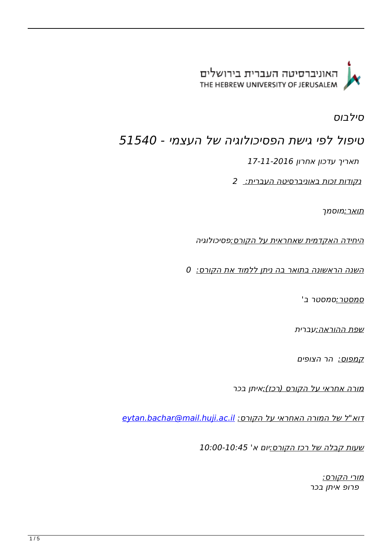

*סילבוס*

## *טיפול לפי גישת הפסיכולוגיה של העצמי - 51540*

 *תאריך עדכון אחרון 17-11-2016*

*נקודות זכות באוניברסיטה העברית: 2*

*תואר:מוסמך* 

*היחידה האקדמית שאחראית על הקורס:פסיכולוגיה* 

*השנה הראשונה בתואר בה ניתן ללמוד את הקורס: 0*

*סמסטר:סמסטר ב'* 

*שפת ההוראה:עברית* 

*קמפוס: הר הצופים* 

*מורה אחראי על הקורס (רכז):איתן בכר* 

*דוא"ל של המורה האחראי על הקורס: [il.ac.huji.mail@bachar.eytan](mailto:eytan.bachar@mail.huji.ac.il)*

*שעות קבלה של רכז הקורס:יום א' 10:00-10:45* 

*מורי הקורס: פרופ איתן בכר*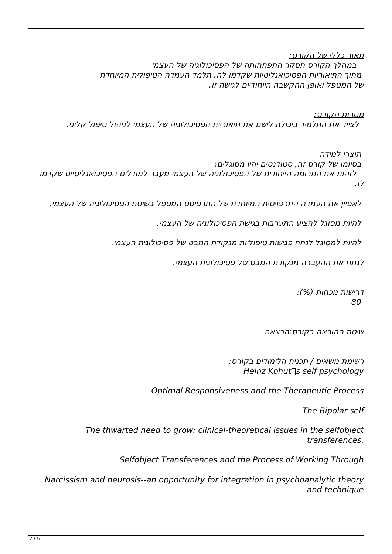*תאור כללי של הקורס: במהלך הקורס תסקר התפתחותה של הפסיכולוגיה של העצמי מתוך התיאוריות הפסיכואנליטיות שקדמו לה. תלמד העמדה הטיפולית המיוחדת*

*של המטפל ואופן ההקשבה הייחודיים לגישה זו.* 

*מטרות הקורס: לצייד את התלמיד ביכולת לישם את תיאוריית הפסיכולוגיה של העצמי לניהול טיפול קליני.* 

 *תוצרי למידה*

 *בסיומו של קורס זה, סטודנטים יהיו מסוגלים:*

 *לזהות את התרומה הייחודית של הפסיכולוגיה של העצמי מעבר למודלים הפסיכואנליטיים שקדמו לו.*

 *לאפיין את העמדה התרפויטית המיוחדת של התרפיסט המטפל בשיטת הפסיכולוגיה של העצמי.*

 *להיות מסוגל להציע התערבות בגישת הפסיכולוגיה של העצמי.*

 *להיות למסוגל לנתח פגישות טיפוליות מנקודת המבט של פסיכולוגית העצמי.*

*לנתח את ההעברה מנקודת המבט של פסיכולוגית העצמי.* 

*דרישות נוכחות (%): 80* 

*שיטת ההוראה בקורס:הרצאה* 

*רשימת נושאים / תכנית הלימודים בקורס: Heinz Kohut* S self psychology

*Optimal Responsiveness and the Therapeutic Process* 

**The Bipolar self** 

The thwarted need to grow: clinical-theoretical issues in the selfobject *.transferences*

*Selfobject Transferences and the Process of Working Through* 

*Narcissism and neurosis--an opportunity for integration in psychoanalytic theory* and technique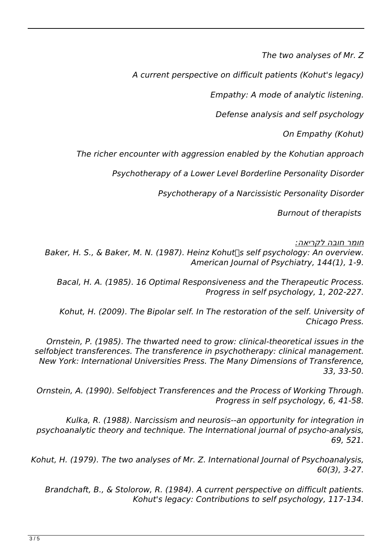*The two analyses of Mr. Z* 

A current perspective on difficult patients (Kohut's legacy)

*Empathy: A mode of analytic listening.* 

*Defense analysis and self psychology* 

**On Empathy (Kohut)** 

The richer encounter with aggression enabled by the Kohutian approach

*Psychotherapy of a Lower Level Borderline Personality Disorder* 

**Psychotherapy of a Narcissistic Personality Disorder** 

**Burnout of therapists** 

*חומר חובה לקריאה:*

Baker, H. S., & Baker, M. N. (1987). Heinz Kohut Sself psychology: An overview. *American Journal of Psychiatry, 144(1), 1-9.* 

*Bacal, H. A. (1985). 16 Optimal Responsiveness and the Therapeutic Process. Progress in self psychology, 1, 202-227.* 

*Kohut, H. (2009). The Bipolar self. In The restoration of the self. University of* **Chicago Press.** 

*Ornstein, P. (1985). The thwarted need to grow: clinical-theoretical issues in the* selfobject transferences. The transference in psychotherapy: clinical management. *New York: International Universities Press. The Many Dimensions of Transference, 33-50. 33,*

*Ornstein, A. (1990). Selfobject Transferences and the Process of Working Through. Progress in self psychology, 6, 41-58.* 

*Kulka, R. (1988). Narcissism and neurosis--an opportunity for integration in psychoanalytic theory and technique. The International journal of psycho-analysis, 521. 69,*

*Kohut, H. (1979). The two analyses of Mr. Z. International lournal of Psychoanalysis, 60(3)*, 3-27.

*Brandchaft, B., & Stolorow, R. (1984). A current perspective on difficult patients.* Kohut's legacy: Contributions to self psychology, 117-134.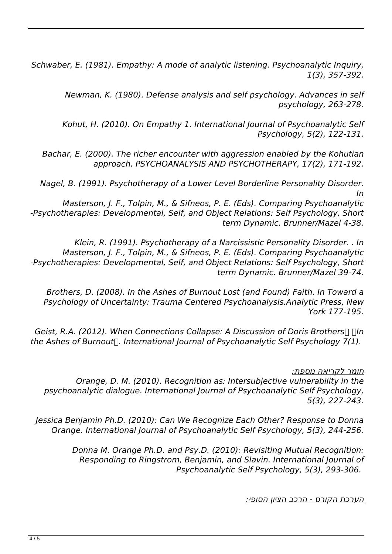*Schwaber, E. (1981). Empathy: A mode of analytic listening. Psychoanalytic Inquiry, 357-392. ,(3)1*

*Newman, K. (1980). Defense analysis and self psychology. Advances in self 263-278. ,psychology*

*Kohut, H. (2010). On Empathy 1. International Journal of Psychoanalytic Self Psychology, 5(2), 122-131.* 

*Bachar, E. (2000). The richer encounter with aggression enabled by the Kohutian* approach. PSYCHOANALYSIS AND PSYCHOTHERAPY, 17(2), 171-192.

*Nagel, B. (1991). Psychotherapy of a Lower Level Borderline Personality Disorder. In*

*Masterson, J. F., Tolpin, M., & Sifneos, P. E. (Eds). Comparing Psychoanalytic -Psychotherapies: Developmental, Self, and Object Relations: Self Psychology, Short* term Dynamic. Brunner/Mazel 4-38.

*Klein, R. (1991). Psychotherapy of a Narcissistic Personality Disorder. . In Masterson, J. F., Tolpin, M., & Sifneos, P. E. (Eds). Comparing Psychoanalytic -Psychotherapies: Developmental, Self, and Object Relations: Self Psychology, Short* term Dynamic. Brunner/Mazel 39-74.

*Brothers, D. (2008). In the Ashes of Burnout Lost (and Found) Faith. In Toward a Psychology of Uncertainty: Trauma Centered Psychoanalysis Analytic Press, New 177-195. York*

*Geist, R.A. (2012). When Connections Collapse: A Discussion of Doris Brothers*  $\Box$   $\Box$ *In the Ashes of Burnout* []. International Journal of Psychoanalytic Self Psychology 7(1).

*חומר לקריאה נוספת:*

*Orange, D. M. (2010). Recognition as: Intersubjective vulnerability in the* psychoanalytic dialogue. International Journal of Psychoanalytic Self Psychology, *5(3)*, 227-243.

*Jessica Benjamin Ph.D. (2010): Can We Recognize Each Other? Response to Donna <u>Drange. International Journal of Psychoanalytic Self Psychology, 5(3), 244-256.</u>* 

> *Donna M. Orange Ph.D. and Psy.D. (2010): Revisiting Mutual Recognition: Responding to Ringstrom, Benjamin, and Slavin. International Journal of Psychoanalytic Self Psychology, 5(3), 293-306.*

> > *הערכת הקורס - הרכב הציון הסופי:*